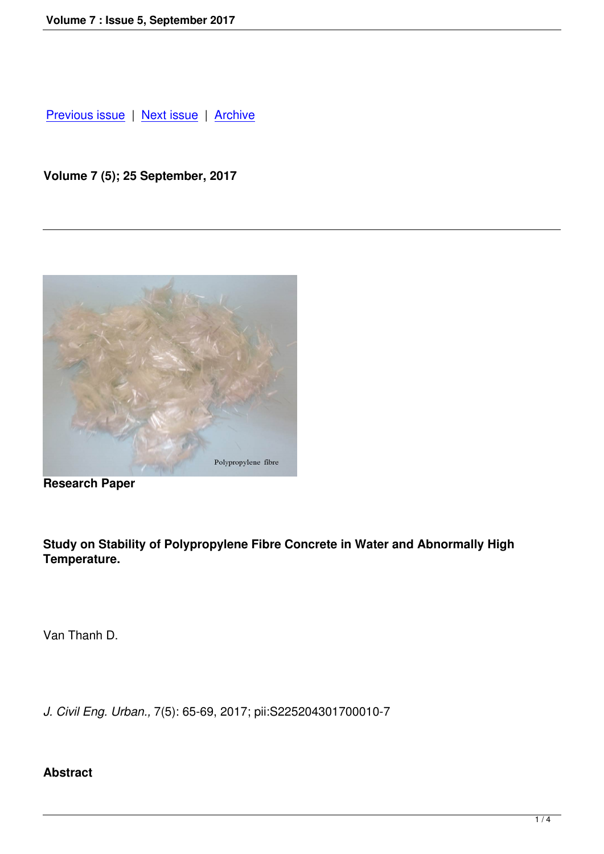Previous issue | Next issue | Archive

**[Volume 7 \(5\); 2](index.php?option=com_content&view=article&id=61&Itemid=63)5 [Septembe](index.php?option=com_content&view=article&id=60&Itemid=66)r, [2017](index.php?option=com_content&view=article&id=7&Itemid=10)**



**Research Paper**

**Study on Stability of Polypropylene Fibre Concrete in Water and Abnormally High Temperature.** 

Van Thanh D.

*J. Civil Eng. Urban.,* 7(5): 65-69, 2017; pii:S225204301700010-7

# **Abstract**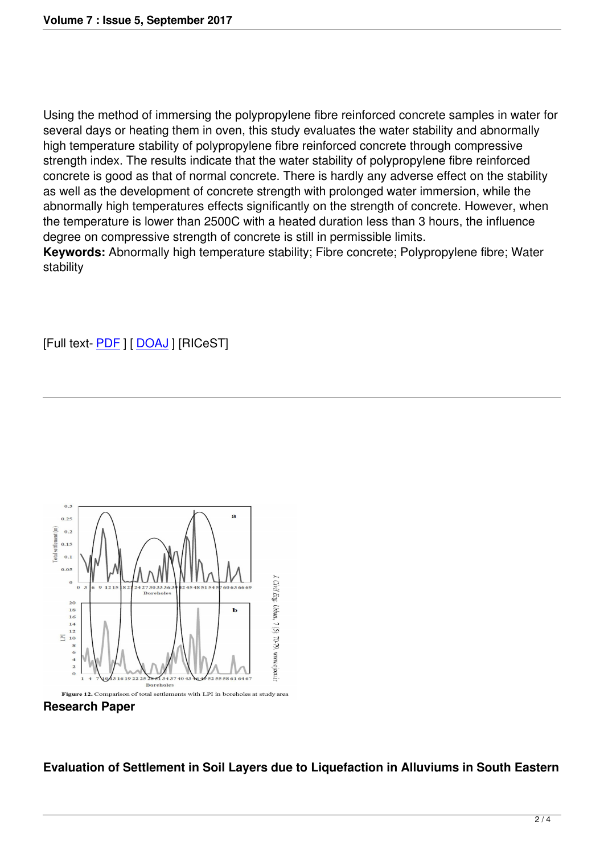Using the method of immersing the polypropylene fibre reinforced concrete samples in water for several days or heating them in oven, this study evaluates the water stability and abnormally high temperature stability of polypropylene fibre reinforced concrete through compressive strength index. The results indicate that the water stability of polypropylene fibre reinforced concrete is good as that of normal concrete. There is hardly any adverse effect on the stability as well as the development of concrete strength with prolonged water immersion, while the abnormally high temperatures effects significantly on the strength of concrete. However, when the temperature is lower than 2500C with a heated duration less than 3 hours, the influence degree on compressive strength of concrete is still in permissible limits.

**Keywords:** Abnormally high temperature stability; Fibre concrete; Polypropylene fibre; Water stability

# [Full text- PDF ] [ DOAJ ] [RICeST]



**Research Paper**

### **Evaluation of Settlement in Soil Layers due to Liquefaction in Alluviums in South Eastern**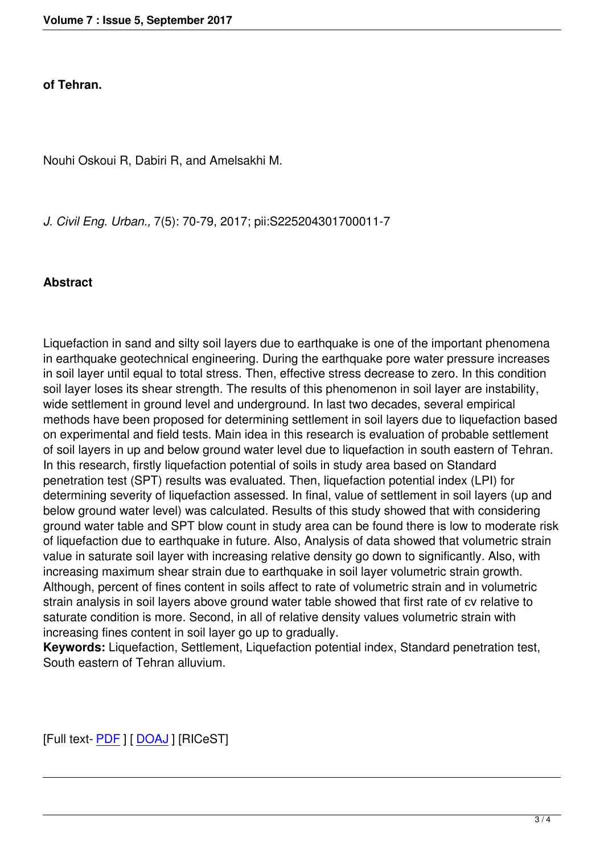#### **of Tehran.**

Nouhi Oskoui R, Dabiri R, and Amelsakhi M.

*J. Civil Eng. Urban.,* 7(5): 70-79, 2017; pii:S225204301700011-7

### **Abstract**

Liquefaction in sand and silty soil layers due to earthquake is one of the important phenomena in earthquake geotechnical engineering. During the earthquake pore water pressure increases in soil layer until equal to total stress. Then, effective stress decrease to zero. In this condition soil layer loses its shear strength. The results of this phenomenon in soil layer are instability, wide settlement in ground level and underground. In last two decades, several empirical methods have been proposed for determining settlement in soil layers due to liquefaction based on experimental and field tests. Main idea in this research is evaluation of probable settlement of soil layers in up and below ground water level due to liquefaction in south eastern of Tehran. In this research, firstly liquefaction potential of soils in study area based on Standard penetration test (SPT) results was evaluated. Then, liquefaction potential index (LPI) for determining severity of liquefaction assessed. In final, value of settlement in soil layers (up and below ground water level) was calculated. Results of this study showed that with considering ground water table and SPT blow count in study area can be found there is low to moderate risk of liquefaction due to earthquake in future. Also, Analysis of data showed that volumetric strain value in saturate soil layer with increasing relative density go down to significantly. Also, with increasing maximum shear strain due to earthquake in soil layer volumetric strain growth. Although, percent of fines content in soils affect to rate of volumetric strain and in volumetric strain analysis in soil layers above ground water table showed that first rate of εv relative to saturate condition is more. Second, in all of relative density values volumetric strain with increasing fines content in soil layer go up to gradually.

**Keywords:** Liquefaction, Settlement, Liquefaction potential index, Standard penetration test, South eastern of Tehran alluvium.

[Full text- PDF ] [ DOAJ ] [RICeST]